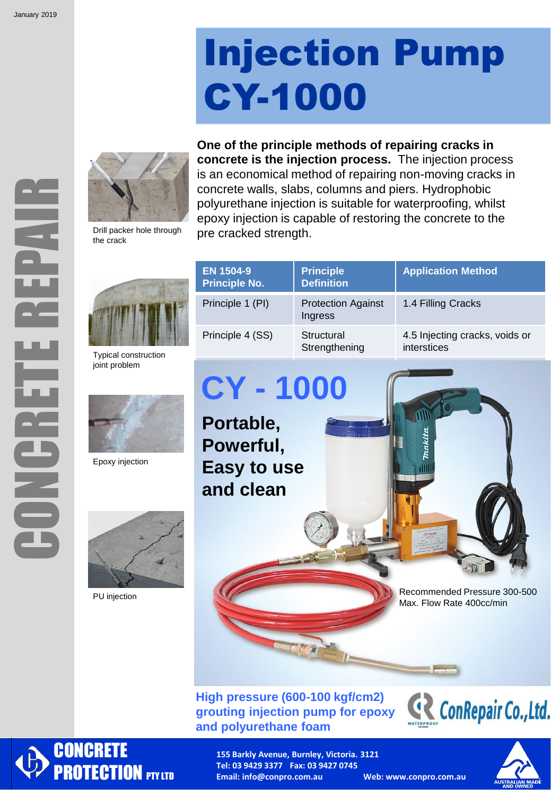ŧ

HUNGE<br>B

# Injection Pump CY-1000

**One of the principle methods of repairing cracks in** 



Drill packer hole through the crack





Typical construction joint problem



Epoxy injection



PU injection

| <b>Principle</b><br><b>Definition</b> | <b>Application Method</b>                     |
|---------------------------------------|-----------------------------------------------|
| <b>Protection Against</b><br>Ingress  | 1.4 Filling Cracks                            |
| Structural<br>Strengthening           | 4.5 Injecting cracks, voids or<br>interstices |
|                                       |                                               |

**CY - 1000**

**Portable, Powerful, Easy to use and clean**

> Recommended Pressure 300-500 Max. Flow Rate 400cc/min

### **High pressure (600-100 kgf/cm2) grouting injection pump for epoxy and polyurethane foam**





**155 Barkly Avenue, Burnley, Victoria. 3121 Tel: 03 9429 3377 Fax: 03 9427 0745 Email: info@conpro.com.au Web: www.conpro.com.au**